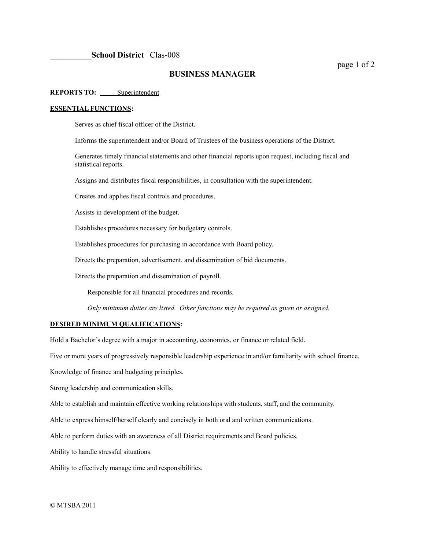# **BUSINESS MANAGER**

## **REPORTS TO:** Superintendent

### **ESSENTIAL FUNCTIONS:**

Serves as chief fiscal officer of the District.

Informs the superintendent and/or Board of Trustees of the business operations of the District.

Generates timely financial statements and other financial reports upon request, including fiscal and statistical reports.

Assigns and distributes fiscal responsibilities, in consultation with the superintendent.

Creates and applies fiscal controls and procedures.

Assists in development of the budget.

Establishes procedures necessary for budgetary controls.

Establishes procedures for purchasing in accordance with Board policy.

Directs the preparation, advertisement, and dissemination of bid documents.

Directs the preparation and dissemination of payroll.

Responsible for all financial procedures and records.

*Only minimum duties are listed. Other functions may be required as given or assigned.*

### **DESIRED MINIMUM QUALIFICATIONS:**

Hold a Bachelor's degree with a major in accounting, economics, or finance or related field.

Five or more years of progressively responsible leadership experience in and/or familiarity with school finance.

Knowledge of finance and budgeting principles.

Strong leadership and communication skills.

Able to establish and maintain effective working relationships with students, staff, and the community.

Able to express himself/herself clearly and concisely in both oral and written communications.

Able to perform duties with an awareness of all District requirements and Board policies.

Ability to handle stressful situations.

Ability to effectively manage time and responsibilities.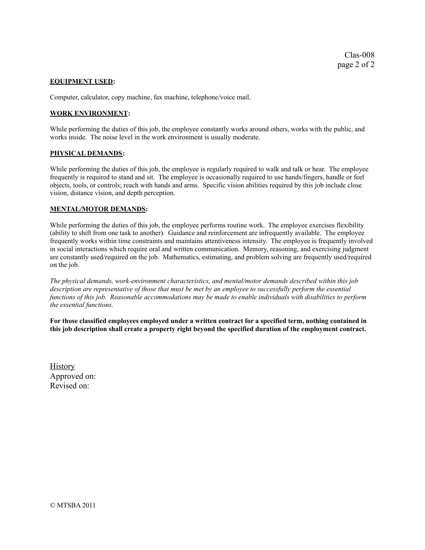### **EQUIPMENT USED:**

Computer, calculator, copy machine, fax machine, telephone/voice mail.

## **WORK ENVIRONMENT:**

While performing the duties of this job, the employee constantly works around others, works with the public, and works inside. The noise level in the work environment is usually moderate.

### **PHYSICAL DEMANDS:**

While performing the duties of this job, the employee is regularly required to walk and talk or hear. The employee frequently is required to stand and sit. The employee is occasionally required to use hands/fingers, handle or feel objects, tools, or controls; reach with hands and arms. Specific vision abilities required by this job include close vision, distance vision, and depth perception.

### **MENTAL/MOTOR DEMANDS:**

While performing the duties of this job, the employee performs routine work. The employee exercises flexibility (ability to shift from one task to another). Guidance and reinforcement are infrequently available. The employee frequently works within time constraints and maintains attentiveness intensity. The employee is frequently involved in social interactions which require oral and written communication. Memory, reasoning, and exercising judgment are constantly used/required on the job. Mathematics, estimating, and problem solving are frequently used/required on the job.

*The physical demands, work-environment characteristics, and mental/motor demands described within this job* description are representative of those that must be met by an employee to successfully perform the essential *functions of this job. Reasonable accommodations may be made to enable individuals with disabilities to perform the essential functions.*

**For those classified employees employed under a written contract for a specified term, nothing contained in this job description shall create a property right beyond the specified duration of the employment contract.**

**History** Approved on: Revised on: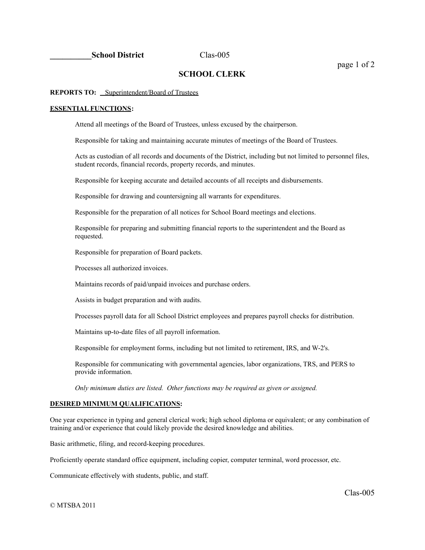# **SCHOOL CLERK**

### **REPORTS TO:** Superintendent/Board of Trustees

### **ESSENTIAL FUNCTIONS:**

Attend all meetings of the Board of Trustees, unless excused by the chairperson.

Responsible for taking and maintaining accurate minutes of meetings of the Board of Trustees.

Acts as custodian of all records and documents of the District, including but not limited to personnel files, student records, financial records, property records, and minutes.

Responsible for keeping accurate and detailed accounts of all receipts and disbursements.

Responsible for drawing and countersigning all warrants for expenditures.

Responsible for the preparation of all notices for School Board meetings and elections.

Responsible for preparing and submitting financial reports to the superintendent and the Board as requested.

Responsible for preparation of Board packets.

Processes all authorized invoices.

Maintains records of paid/unpaid invoices and purchase orders.

Assists in budget preparation and with audits.

Processes payroll data for all School District employees and prepares payroll checks for distribution.

Maintains up-to-date files of all payroll information.

Responsible for employment forms, including but not limited to retirement, IRS, and W-2's.

Responsible for communicating with governmental agencies, labor organizations, TRS, and PERS to provide information.

*Only minimum duties are listed. Other functions may be required as given or assigned.*

## **DESIRED MINIMUM QUALIFICATIONS:**

One year experience in typing and general clerical work; high school diploma or equivalent; or any combination of training and/or experience that could likely provide the desired knowledge and abilities.

Basic arithmetic, filing, and record-keeping procedures.

Proficiently operate standard office equipment, including copier, computer terminal, word processor, etc.

Communicate effectively with students, public, and staff.